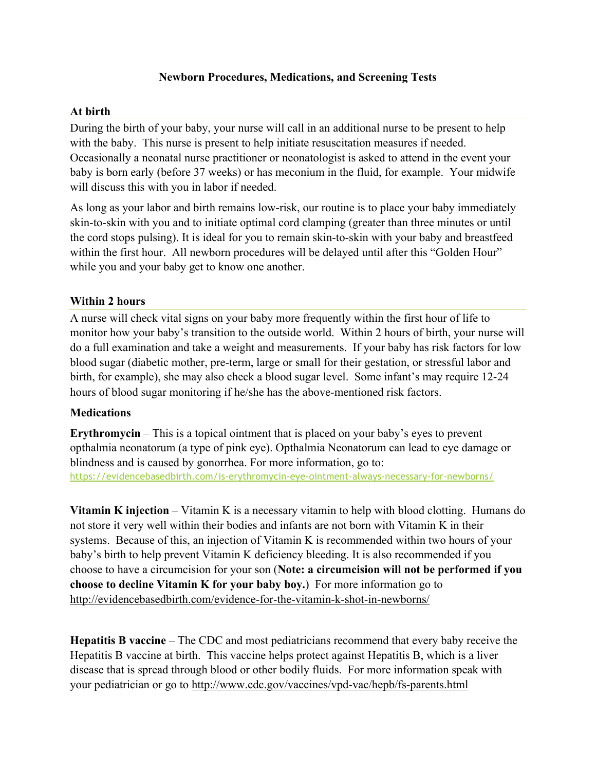## **Newborn Procedures, Medications, and Screening Tests**

## **At birth**

During the birth of your baby, your nurse will call in an additional nurse to be present to help with the baby. This nurse is present to help initiate resuscitation measures if needed. Occasionally a neonatal nurse practitioner or neonatologist is asked to attend in the event your baby is born early (before 37 weeks) or has meconium in the fluid, for example. Your midwife will discuss this with you in labor if needed.

As long as your labor and birth remains low-risk, our routine is to place your baby immediately skin-to-skin with you and to initiate optimal cord clamping (greater than three minutes or until the cord stops pulsing). It is ideal for you to remain skin-to-skin with your baby and breastfeed within the first hour. All newborn procedures will be delayed until after this "Golden Hour" while you and your baby get to know one another.

## **Within 2 hours**

A nurse will check vital signs on your baby more frequently within the first hour of life to monitor how your baby's transition to the outside world. Within 2 hours of birth, your nurse will do a full examination and take a weight and measurements. If your baby has risk factors for low blood sugar (diabetic mother, pre-term, large or small for their gestation, or stressful labor and birth, for example), she may also check a blood sugar level. Some infant's may require 12-24 hours of blood sugar monitoring if he/she has the above-mentioned risk factors.

# **Medications**

**Erythromycin** – This is a topical ointment that is placed on your baby's eyes to prevent opthalmia neonatorum (a type of pink eye). Opthalmia Neonatorum can lead to eye damage or blindness and is caused by gonorrhea. For more information, go to: https://evidencebasedbirth.com/is-erythromycin-eye-ointment-always-necessary-for-newborns/

**Vitamin K injection** – Vitamin K is a necessary vitamin to help with blood clotting. Humans do not store it very well within their bodies and infants are not born with Vitamin K in their systems. Because of this, an injection of Vitamin K is recommended within two hours of your baby's birth to help prevent Vitamin K deficiency bleeding. It is also recommended if you choose to have a circumcision for your son (**Note: a circumcision will not be performed if you choose to decline Vitamin K for your baby boy.**) For more information go to http://evidencebasedbirth.com/evidence-for-the-vitamin-k-shot-in-newborns/

**Hepatitis B vaccine** – The CDC and most pediatricians recommend that every baby receive the Hepatitis B vaccine at birth. This vaccine helps protect against Hepatitis B, which is a liver disease that is spread through blood or other bodily fluids. For more information speak with your pediatrician or go to http://www.cdc.gov/vaccines/vpd-vac/hepb/fs-parents.html